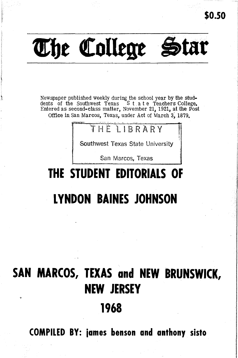

Newspaper published weekly during the school year by the stud-dents of the Southwest Texas <sup>S</sup> tat <sup>e</sup> Teachers College. Entered as second-class matter, November 21, 1921, at the Post Office in San Marcos, Texas, under Act of March 3, 1879.

### HE TIBRARY

Southwest Texas State University

San Marcos. Texas

# **THE STUDENT EDITORIALS OF**

### **LYNDON BAINES JOHNSON**

## **SAN MARCOS, TEXAS and NEW BRUNSWICK, NEW JERSEY**

### **1968**

**COMPILED BY: iames benson and anthony sisto**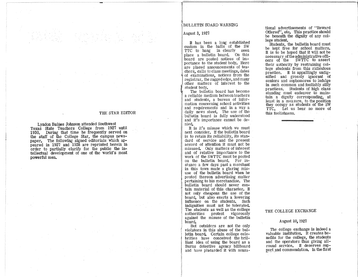#### BULLETIN BOARD WARNING

#### August 3, 1927

It has been a long established custom in the halls of the SW TTC to hang in clearly seen place a bulletin board. On this board are posted notices of importance to the student body. Here are placed announcements of teachers, calls to class meetings, dates of examinations, notices from the registrar, the ragged edge, and many other matters of interest to the

The bulletin board has become<br>a reliable medium between teachers and students, a bureau of information concerning school activities and requirements and in a way a daily news sheet. The use of the bulletin board is fully understood and it's importance cannot be denied.

It is it's misuse which we must next consider. If the bulletin board is to retain its reliability, its standard of service and the present accord of attention it must not be misused. Only matters of interest and of relative importance to the work of the SWTTC must be posted on the bulletin board. For instance a few days past a merchant in this town made a glaring misuse of the bulletin board when he posted thereon advertising matter pertaining to his merchandise, The bulletin board should never contain material of this character. It not only cheapens the use of the board, but also exerts a lowering influence on the students. Such indignities must not be tolerated. The students as well as the college authorities protest vigorously against the misuse of the bulletin board.

But outsiders are not the only violators in this abuse of the bulletin board. Certain college celebrities have conceived the brilliant idea of using the board as a Burns detective agency billboard and have placarded it with sensational advertisements of "Reward Offered", etc. This practice should be beneath the dignity of any college student.

students, the bulletin board must be kept free for school matters. It is to be hoped that it will not be necessary ofthe administrative offi-cers of the SWTTC to assert their authority by restraining college students from this ridiculous practice. It is appallingly undignified and grossly ignorant of seniors and sophomores to indulge in such common and foolishly silly practices. Students of high class standing must endeavor to maintain a dignity corresponding, at least in a measure, to the position they occupy as students of the SW TTC. Let us hear no more of this foolishness.

#### THE COLLEGE EXCHANGE

#### August 10, 1927

The college exchange is indeed a valuable institution. It creates benefits for the college, the students and the operators thus giving allround service. It deserves support and commendation. In the first

#### THE STAR EDITOR

Lyndon Baines Johnson attended Southwest Texas state Teachers College from 1927 until 1930. During that time he frequently served on the staff of the College Star, the campus newspaper. The following signed editorials which appeared in 1927 and 1928 are reprinted herein in order to partially clarify for the public the intellectual development of one of the world's most powerful men.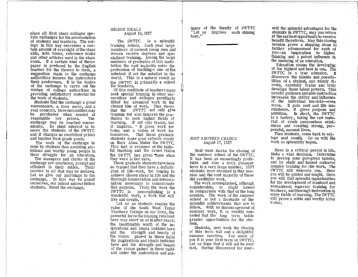place all first class colleges ope rate exchanges for the accomodation of students and teachers. The college in this way exercises a certain amount of eversight ofthe class aids, note books, reference books and other articles used in the class room. If a certain kind of theme paper is prefered by the English teacher for the themes to them, a suggestion made to the exchange authorities insures the instructors their preference. It is the desire of the exchange to carry out the wishes of college authorities in providing satisfactory material for the work of students.

students find the exchange a great convenience, a time saver, and a real economy. Here necessities may be purchased when needed at<br>reasonable low prices. The reasonable low prices. exchange may be reached conveniently. Its chief interest is to serve the students of the SWTTC and it charges no exorbitant prices and handles first grade goods.

The work of the exchange is done by students thus assisting ambitious and worthy young people in their struggle for an education. The managers and clerks of the exchange are courteous, prompt and efficient in their duties. Their service is all that may be desired. Let us give our patronage to the exchange. In this way we assist ourselves, our school and our fellow students. Boost the exchange.

#### HIGHER IDEALS August 10, 1927

The SWTTC is a splendid training school. Each year large members of earnest young men and women receive degrees and specialized training. Among the large numbers of graduates of this institution the vast majority enter the profession of teaching- one of the nobelest if not the nobelist in the world. This is a natural result as the SWTTC is primarily a school for teachers.

Of this multitude of teachers many seek special training in other universities and colleges peculiarly fitted for advanced work in the chosen line of work. This shows that the SWTTC not only give training but also inspires the graduates to seek higher fields of learning. It not only trains, but it inspires. • It gives work for today and a vision of work for tomorrow. That these graduate students make good reflects credit on their Alma Mater the SWTTC, This fact is evidence of the faithful teaching and the broad Vision the SWTTC has given them when they were in her care.

These graduate students have been so trained that they have a definite plan of life-work, the longing to achieve chosen ideas in life and the thorough consecration and determination necessary to consummate this purpose. Truly the work the SWTTC is accomplishing is a wonderful work, a work that will live and create.

Let us as students realize the value of the South West Texas Teachers College on our lives, the powerful force the training received here may exert on us in after years;<br>the inestimable worth of the inspirations and ideals imbided here and the strength and beauty of the vision gained in these halls the inspirations and ideals imbided here and the strength and beauty of the vision gained in these halls and under the instruction and  $\overline{e}$ uidance of the faculty of SWTTC "Let us improve each shining hour."

会议

#### JUST ANOTHER CHANCE August 17, 1927

Next week marks the closing of the summer school of the SWTTC. It has been an exceedingly profitable and also a truly pleasant term to a very large number. 1357 students were enrolled in this session and the vast majority of these did creditable work.

The work accomplished, although considerable, is slight indeed in comparison with that of the long session. The work of the summer school is but a foretaste of the splendid achievements that are to follow. With no discouragement of summer work, it is readily conceded that the long term' holds greater opportunities for the student.

StUdents, next week the closing of this term will end a delightful summer vacation. For some of you it is your first term in SWTTC. Let us hope that it will not be your last. Having discovered for your-

self the splendid advantages for the students in SWTTC, may you return at the earliest opportunity to receive benefit therefrom. May this closing session prove a stepping stone to further advancement for each of you--an inspiration to higher thinking and a potent influence in the securing of an education.

Education means the developing of the highest and best in one. The SWTTC is a true educator. It discovers the talents and possibilities of a student, and wisely directs, carefully trains and trulv develops those talent powers. This careful guidance and able instruction increases the ability and influence of the individual ten-fold--even more. It puts zest and life into existence. It gives purpose and ambition. In short, the SWTTC is a factory, taking the raw material of crude purposeless existenCes and creating strong, purposeful, earnest lives.

Then students, come back to college next month. Go on with the work so splendidly begun.

Here is a critical period in life. Make a wise decision. Determine to develop your god-given talents. and by study and honest endeavor acquire training' for life work. The SWTTC will welcome you. Here you will be guided and taught. Here you will find splendid oppurtunities for the development of manhood and womanhood; superior training for teaChers, and thorough instruction in many fields of learning. The SWTTC will prove a noble and worthy Alma 11ater.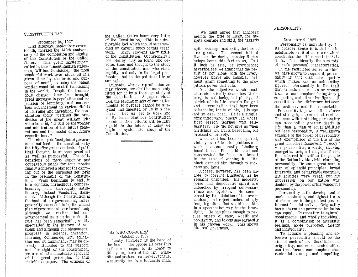#### CONSTITUTION DAY

September 24, 1927<br>Last Saturday, September seventeenth, marked the 140th anniversary of the completion and signing of the Constitution of the United States. This great masterpiece called by the eminent English statesman, William Gladstone, "the most wonderful work ever stuck off at a given time by the brain and purpose of man", is today the oldest written constitution still functioning in the world. Despite the tremendous changes time has brought,<br>great increase in population and expansion of territory, and marve-<br>lous advancement in various fields<br>of learning and invention, the constitution today justifies the prediction of the great William Pitt when he said, "it will be the wonder and admiration of the future generations and the model of all future constitutions."

The clearly defined plan of government outlined in the constitution by the fifty-five great students of polias well as purposeful. The deliberations of these superior and courageous minds for four months finally achieved aplanfor the carrying out of. the purposes set forth in the preamble of the Constitution. From beginning to end. it is a concise, harmonious, comprehensive, and thoroughly satisfactory, indeed. wonderful, document. Although the Constitution is the basis of our government, and is generally conceded to be the wisest plan of government ever formulated; advancement as a nation under its rule has been remarkable, wholly<br>unequalled in the history of nations; and although our phenomenal progress in science, invention, learning, commerce, art, education and statesmanship may be directly attributed to the wisdom<br>and foresight of the constitution, we are alas! shamelessly ignorant of the great principles of this matchless paper. The citizens of

the United States know very little of the Constitution, This is a de-<br>plorable fact which should be remedied by careful study of this great work, Many lawyers know little of the Constitution, Occasionally <sup>a</sup> Joe Bailey may be found who devotes time and thought to the study of the constitution and who rises rapidly, not only in the legal profession, but in the political life of our nation,<br>Students, whatever profession we

may choose, we shall be more ably fitted for it by a thorough study of the Constitution, A paper Which took the leading minds of our nation<br>months to prepare cannot be analyzed and digested by us in a few days. Let us get to work and really learn what our Constitution contains. Our efforts will be fully<br>repaid in the future if today we begin a systematic study of the Constitution.

#### "HE WHO CONQUERS" October 5, 1927

Lucky Lindberg is the hero of the hour, The people all over this nation are eager to do honor to this young hero of the air. Plaudits and praises are on every tongue, Assuredly he is a fortunate man.

We must agree that Lindberg merits the title of lucky, for despite courage and skill, the hazards

spite courage and skill, the hazard are great. The recent toll of lives on the daring nonstop flights brings home this fact to us, Call it luck or fate, or Providence; nevertheless we admit that the re- sult is not alone with the flyer, however brave and capable, We must grant something to the propitious power that rule.

Yet the adjective which most characteristically describes Lindberg is not lucky, but plucky, A sketch of his life reveals the grit and determination that have been<br>outstanding traits of his. His was not an easy road. He is a simple straightforward, plucky lad whose first lesson learned was selfmastery, He did not give up when hardships and trials beset him, but pressed on bravely.

When self has been conquered, victory over life's temptations and weaknesses come easily--Lindberg found it so. He set his goal and consecrated the best in himself to the task of winning **it.** His pluck carried him through to suc- cess and fame.

Success, however, has been un- able to corrupt Lindberg, as he remains unspoiled. His modesty,<br>poise and democratic spirit are poise and egotism. He seems<br>rance and egotism. He seems<br>bored by the adulation of the over-<br>zealous, and rejects unhesitatingly tempting offers that would keep him in a spectacular way in the lime-<br>light. He has pluck enough to refuse offers of ease, wealth and popularity, and to continue earnestly in his chosen work. This shows his real greatness.

#### PERSONALITY

#### November 9, 1927

Personality is individuality. In its broader sense it is that subtle, indefinable trait of character Which constitutes the difference in individuals. It is identity, the sum total of one's personal characteristics.

In the restricted sense in which we have grown to regard it, personality is that distinctive quality which makes one an outstanding figure. Personality is the trait from a commonplace being into a compelling and attractive figure. It constitutes the difference between the ordinary and the remarkable,

Personality is power, It has force and strength, charm and attraction.<br>The man with a striking personality can accomplish greater deeds in life than a man of equal abilities but less personality. A well known example of the power of personality was exemplified in the life of the great Theodore Roosevelt. "Teddy" was personality, a virile, striking energetic, original magnetic force. He endeared himself to the people of the Nation by his vivid, charming personality, He was <sup>a</sup> great man, <sup>a</sup> man of splendid principles, broad interests, and remarkable energies. His abilities were great, but his doubled by the power of his wonderful personality,

Personality is the development of one's outstanding and highest traits of character to the greatest power. It must be distinctive. Originality<br>has a charm and power no imitation can equal. Personality is natural. spontaneous, and Wholly individual, It is a combination of altruistic feelings, noble purposes. talents and individuality.

To acquire a pleasing and effective personality should be the aim of each of us'. Unselfishness, originality, and concentrated effort can transform <sup>a</sup> commonplace character into a unique and compelling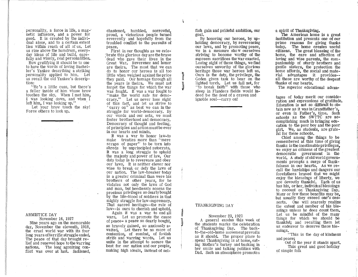personality, a force in life, a mag-' netic influence, and a power for good, It is created by the individual alone, and to a certain extent<br>lies within reach of all of us. Let us rise above the humdrum, every-<br>day ideas of life and build, care-

fully and wisely, real personalities.<br>How gratifying it should be to one to have the words of Irving Bacheller's Yankee describing a striking<br>personality applied to him. Let us recall the old Yankee's description:<br>"He's a little cuss, but there's

a feller inside of him whose brow touches the sky, When I met him, I was looking down, and when I

Let your brow touch the sky! Force others to look up,

#### ARMISTICE DAY

November 16, 1927 Nine years ago on the memorable day, November the eleventh, 1918, the cruel world war with its four long years of terrific struggle ended.<br>The peace of that day brought relief and renewed hope to the warring<br>nations. The long agonizing conflict was over at last. Saddened,

chastened, humbled, sorrowful, proud, a victorious people turned reverently and hopefully from the troubled conflict to the pursuits of peace.

First in our thoughts as we cele- ;brate this glorious day are the brave dead who gave their lives in the<br>Great War. Reverence and honor are theirs. The most that we can do to honor our heroes is all too little when weighed against the price they paid. Our homage through all the years is theirs. We must not<br>forget the things for which the war was fought. It was a war fought to "make the world safe for democracy." Let us never lose sight of this fact, and let us strive to "carry on" as best we can in the<br>struggle for world-democracy, By our words and our acts, we must foster brotherhood and democracy, Democracy of thought and feeling, of principles and action must be ever in our hearts and minds.

It was a war to honor law-to make treaties more than "mere scraps of paper" to be torn into shreds by unprincipled autocrats. It was a long struggle to uphold the majesty and power of law. Our<br>duty today is to reverence and obey our laws. It is neither clever nor wise to break or defy the laws of our nation. The law-breaker today is a greater criminal than were his brothers of other years, for he violates not only the laws of God and man, but heedlessly scorns the precious privileges so dearly bought by the life-blood of soldiers in that mighty struggle for law-supremacy. That sacred heritage--the rule of law--is ours to cherish and uphold,<br>Again it was a war to end all

wars. Let us promote the cause<br>of peace- a peace so dearly bought. so bravely gained, so anxiouslyawaited. Let there be no more of contention, of combat, of foolish strife and warring words. Let us<br>unite in the attempt to secure the best for our nation and our people, making high Ideals, instead of selfish gain and pridefUl ambition, our goal.

By honoring our heroes, by upholding democracy, by reverencing our laws, and by promoting peace, we in a measure sho w ourselves striving to become worthy of the supreem sacrifices the war exacted. Losing sight of these things, we find ourselves unworthy of the glorious<br>heritage those war heroes left us. Ours is the duty, the privilege, the Goden given task to bear on the lighted torch. Let us fail not, for "to break faith" with those who sleep in Flanders fields would indeed be the deed of a craven and ignoble soul--carry on!

#### THANKSGIVING DAY

November 23, 1927 A general exodus this week of the students marks the celebration of Thanksgiving Day. The backas it should, The proper place to spend Thanksgiving is at home, eating Mother's turkey and basking in her smile and talking politics with Dad. Such an atmosphere promotes

a spirit of Thanksgiving.

The American home is a great<br>institution and presents one of our prime reasons for giving thanks today, The home creates useful citizens. The great blessing of the home, the care and affection of loving and wise parents, the companionship of sturdy brothers and gentle sisters, the protection the home affords, the social and material advantages it provides- all these are worthy of the deepest thanks of our hearts.

The superior educational advan-

tages of today merit our consideration and expressions of gratitude. Education is not so difficult to obtain now as it was in Grandfather's. or even in Father's, time. Such<br>schools as the SWTTC are accomplishing much in bringing education to the poor boy and the poor girl. We, as students, are grateful for these schools.

Chief among the things to be remembered at this time of giving thanks isthe inestimable privileges, we enjoy as citizens of the greatest democratic government in the worId. <sup>A</sup> study of old worId governments prompts a surge of thank-<br>fulness in our hearts. As we recall the hardships and dangers our<br>forefathers braved that we might<br>enjoy the blessings of liberty, we are devoutly thankful. Each of us<br>has his, or her, individual blessings to recount on Thanksgiving Day. Many or few these benefits may be, but usually they exceed one's desserts. One will scarcely realize the extent and number of his blessings unless he does count them. Let us be mindful of the many things for which we should be thankful; and recalling them let us endeavor to deserve these blessings.

"This is the day of kindness and peace;

Out of the year it stands apart, This great and good holiday of simple folk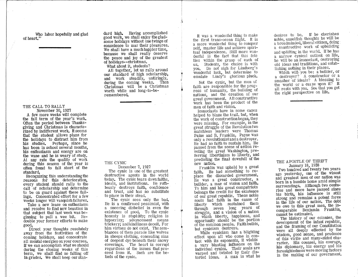Who labor hopefully and glad of heart."

#### THE CALL TO RALLY November 30, 1927

A few more weeks will complete the fall term of the year's work. Often the period between Thanksgiving and christmas is characterized by indifferent work. Itseems that the student allows plans for the holidays to distract him from his studies. Perhaps, since he has been in school several months, his enthusiasm and energy are on the wane and he is weary of study. At any rate the quality of work during this season of the year is often found to fall short of the standard.

Recognizing this understanding the reasons for this deterioration, every student should rally to the call of scholarship and determine to be on guard against these failings. Concentrated effort for a few weeks longer will vanquish failures.

Take a new lease on enthusiasm and resolve to find new beauties in that subject that last week was beginning to pull a wee bit. Redouble your former efforts to make

Direct your thoughts resolutely away from the festivities of the coming holidays, and concentrate 2.11 mental energies on your courses. If we can accomplish what we should during the closing weeks of this term, we shall find no falling off in grades. We shall keep our standard high. Having accomplished good work, we shall enjoy the gladsome holidays without one tWinge of conscience to mar their pleasures. We shall have a much happier time. because we shall really deserve the peace and joy of the greatest of holidays--christmas.

What about it, students?

All together, let us rally around our standard of high scholarship, and work steadily, untiringly, during the coming weeks. Then Christmas will be a Christmas worth while and long-to-beremembered.

#### THE CYNIC

December 7, 1927

The cynic is one of the greatest destructive agents in the world today. The cynic tears down faiths, ideals, and institutions. He ruthlessly destroys faith, confidence and trust, and has no substitute to place in their stead.

The cynic sees only the bad. He is a confirmed pessimist, with a sneering disbelief in even the existence of good. To the cynic honesty is stupidity; religion is hypocrisy; advancement means trickery; and kindliness deceit. For him virtues do not exist. The semblances of them parade like wolves in sheeps clothing, concealing sins of deepest (lye beneath their snowy covering's. The heart is corrupt regardless of the issues that proceed from it. Such are the beliefs of the cynic,

It was a wonderful thing to make the first trans-ocean flight. It is a more wonderful thing to conquer self, master life and achieve spiritual independence. Still more wonderful is the fact that this fete lies within the grasp of each of us. Students, the choice is with you. Do not sigh for Lindberg's wonderful luck, but determine to emulate Lindy's glorious pluck.

Not the cynic, but the men of faith are responsible for the progress of humanity, the building of nations, and the creation of our great government. All constructive work has been the product of the men of faith and vision.

Iconoclasts have in some cases helped to blaze the trail. but, when the work of constructionbegan, they were missing. For example, in the great struggle of the Revolution two matchless leaders were Thomas Paine and B. Franklin. Payne was only a revolutionist and a destroyer. He had no faith to sustain him. He passed from the scene of action reveling the great Washington, preferring libertinism to liberty, and predicting the final downfull of the new nation.

Franklin was upheld by a great faith. He had something to replace the discarded government. He was a great constructor, a builder, a mar of vision and faith. To him and his great compatriots belongs the credit for the existence of our great republic. These noble souls had faith in the cause of liberty which sustained them through seven long years of struggle, and a vision of a nation in which liberty, happiness, and opportunity should be the portion of the common people. Faithbuilds,<br>but cynicism destroys.

While cynicism has a blighting effect upon all who come in contact with its exponents, it wields a vary blasting influence on the individual cynics. Their souls are warped and twisted by their distorted ideas. A man is what he

desires to be. If he cherishes noble unselfish thoughts he will be a broadminded, liberal citizen, doing; a constructive work of upbuilding and uplifting in the world. If he has a narrow cynical outlook on life, he will be an iconoclast, destroying old ideas and traditions, and establishing nothing in their places.

Which Will- you be: a builder, or a destroyer? A constructor or a smasher of ideals? A blessing to the world or a curse upon it? It all rests with you. See that you get the right perspective on life.

#### THE APOSTLE OF THRIFT January 18, 1928

Two hundred and twenty two years ago yesterday, one of the wisest and greatest men of our nation was born in a humble home amid simple surroundings. Although two centuries and more have passed since his birth, his influence' is still strong and remains a potent force in the life of our nation. The debt we owe to this great men, the incomparable Benjamin Franklin, cannot be estimated.

The history of our colonies, the development of the infant republic, and the framing of our Constitution were all deeply effected by the Wisdom, good sense, and prudence of this virile and many-sided character. His counsel, his courage, his diplomacy, his energy and his foresightedness were moving factors in the making of our government.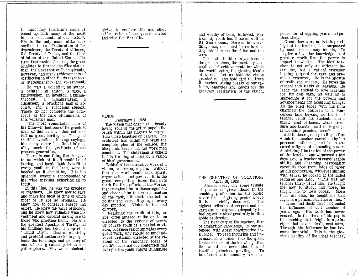In diplomacy Franklin's name is bound up with many of the most famous documents of our history. His is the only name alike subscribed to our Declaration of Independence, the Treaty of Alliance, the Treaty of Peace, and the Constitution of the United States. The first Postmaster General, the great Minister to France, the Wise statesman, the Governor of Pennsylvania, however, had many achievements of distinction in other fields than those of statesmanship and government.

He was a scientist, an author, a printer, an editor, a sage, a philosopher, an inventor, a philanthropist, a humanistarian, a financeer, a practical man of affairs, and a sagacious student. These do not complete the catalogue of the rare attainments of this versatile man.

The most remarkable man of his time--in fact one of the greatest men of this or any other nation- left us great heritages. The good fruitful inventions, his sage sayings, his many other beneficial labors, all, merit the gratitude of the present generation.

There is one thing that he gave to us which of itself would be of lasting, and incalculable benefit to every youth in the land, were it heeded as it should be. It is his splendid example accompanied by his wise maxims eXhorting all to thrift.

In this line, he was the greatest of teachers. He knew how to save and make the most of time of which most of us are so prodigal. He knew how to conserve energy and effort. He knew the value of money, and he knew how valuable wise investment and careful saving are to those who practice them. He was the greatest Apostle of Thrift, and his brithday has been set apart as "Thrift Day". Thus an admiring and grateful nation seeks to perpetuate the teachings and memory of one of her greatest patriots and philosophers. May we as students' strive to emulate this and other noble traits of the great- hearted and wise Ben Franklin.

VISION February 1, 1928

The vision that charms the beauty loving soul of the artist impels the brush within his fingers to reproduce those beauties on canvas. The architect has within his brain the complete plan of the edifice, his blueprints trace and his work men construct. The statesman is upheld in his framing of laws by a vision

Behind all constructive work is a vision, a dream, a plan. Without this the work Would lack spirit, organization, and power. It is the great compelling force that puts forth the first efforts of the worker that sustains him in discouragement and cheers him to a consummation of the task, It starts the ball to day prictice. Vision is the soul of work.

Realizing the truth of this, we are often amazed at the criticism directed to the visions of youth. Of course youth is a period ofvision, but since vision animates every<br>great work, why should so much adverse criticism directed at the visions of the visionary ideas of youth? It is not our contention that every vison youth enjoys is laudable and worthy of being followed. Far from it, youth has false as well as its true visions. Here as in everything else, one must learn to distinguish between the false and the tree.

Our claim is this: to youth come the great visions, the masterly conceptions of achievements for which the world waits, the glowing ideals of work. Let us hold the vision granted us, and hold fast the truth it teaches, giving freely of our talents, energies and labors for the glorious realization of the vision.

#### THE GREATEST OF VOCATIONS April 18, 1928

Almost every day some tribute of praise is given those in the teaching profession for the publlc never tires of giving praise where it is so richly deserved. The highest tributes of respect and regard can not express adequately the feeling entertained generally for this<br>noble profession.

The first duty of the teacher, that of imparting knowledge, is one attended with great constructive influence. To lead inquiring and impressionable minds into the great treasurehouse of the knowledge that the world has accumulated is of itself a priceless privilege. To be of service to humanity is recompense for struggling years and patient study.

Great, however, as is this privilege of the teacher, it is surpassed by another that may be his, To inspire a love for knowledge is of greater worth than the power to impart knowledge. The ideal teacher is not only an efficient instructor, but a valient crusader leading a quest for rare and precious treasures. He is the apostle of truth and wisdom. He lures the student into fields of learning. He leads the student to love learning for its own sake, as well as to appreciate it for the powers and advancements its acquiring brings. As the Pied Piper with his flute charmed the children to a wonderous land beyond, so the ideal teacher leadS his students into a magic land of beauty whose treasure and beauty await their grasp. Is not this a precious boon?

Add to these great privileges that which the teacher exercises by his personal influence, and he is assured a figure of astounding power. A striking illustration of the power of the teacher was witnessed a few days ago. A teacher of considerable ability and charming personality carefully took from folds of paper an old photograph. With eyes shining with tears, he looked at the faded features and said: "This was my teacher thirty years ago. He taught me how to study, and more, he taught me to love books. More than all else, he taught me that right is a principle that never dies."

Time and death have not ended the influence of that teacher of years ago. His work has never ceased. In the lives of his pupils the teaching that "right is a principle that never dies", continues. Through his influence he has become immortal. This is the glorious destiny of the ideal teacher.